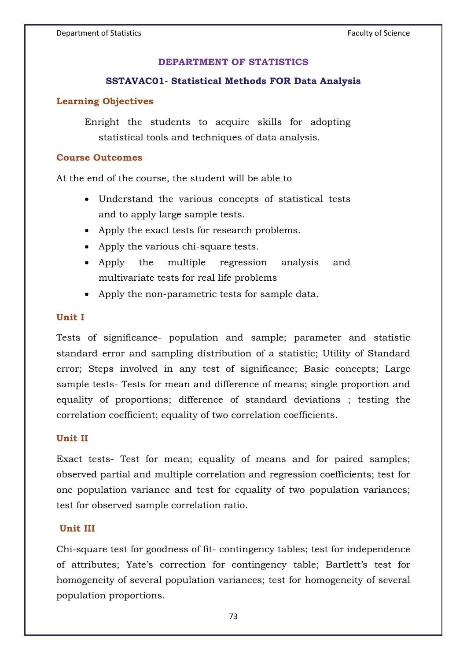#### **DEPARTMENT OF STATISTICS**

# **SSTAVAC01- Statistical Methods FOR Data Analysis**

# **Learning Objectives**

Enright the students to acquire skills for adopting statistical tools and techniques of data analysis.

## **Course Outcomes**

At the end of the course, the student will be able to

- Understand the various concepts of statistical tests and to apply large sample tests.
- Apply the exact tests for research problems.
- Apply the various chi-square tests.
- Apply the multiple regression analysis and multivariate tests for real life problems
- Apply the non-parametric tests for sample data.

# **Unit I**

Tests of significance- population and sample; parameter and statistic standard error and sampling distribution of a statistic; Utility of Standard error; Steps involved in any test of significance; Basic concepts; Large sample tests- Tests for mean and difference of means; single proportion and equality of proportions; difference of standard deviations ; testing the correlation coefficient; equality of two correlation coefficients.

#### **Unit II**

Exact tests- Test for mean; equality of means and for paired samples; observed partial and multiple correlation and regression coefficients; test for one population variance and test for equality of two population variances; test for observed sample correlation ratio.

### **Unit III**

Chi-square test for goodness of fit- contingency tables; test for independence of attributes; Yate's correction for contingency table; Bartlett's test for homogeneity of several population variances; test for homogeneity of several population proportions.